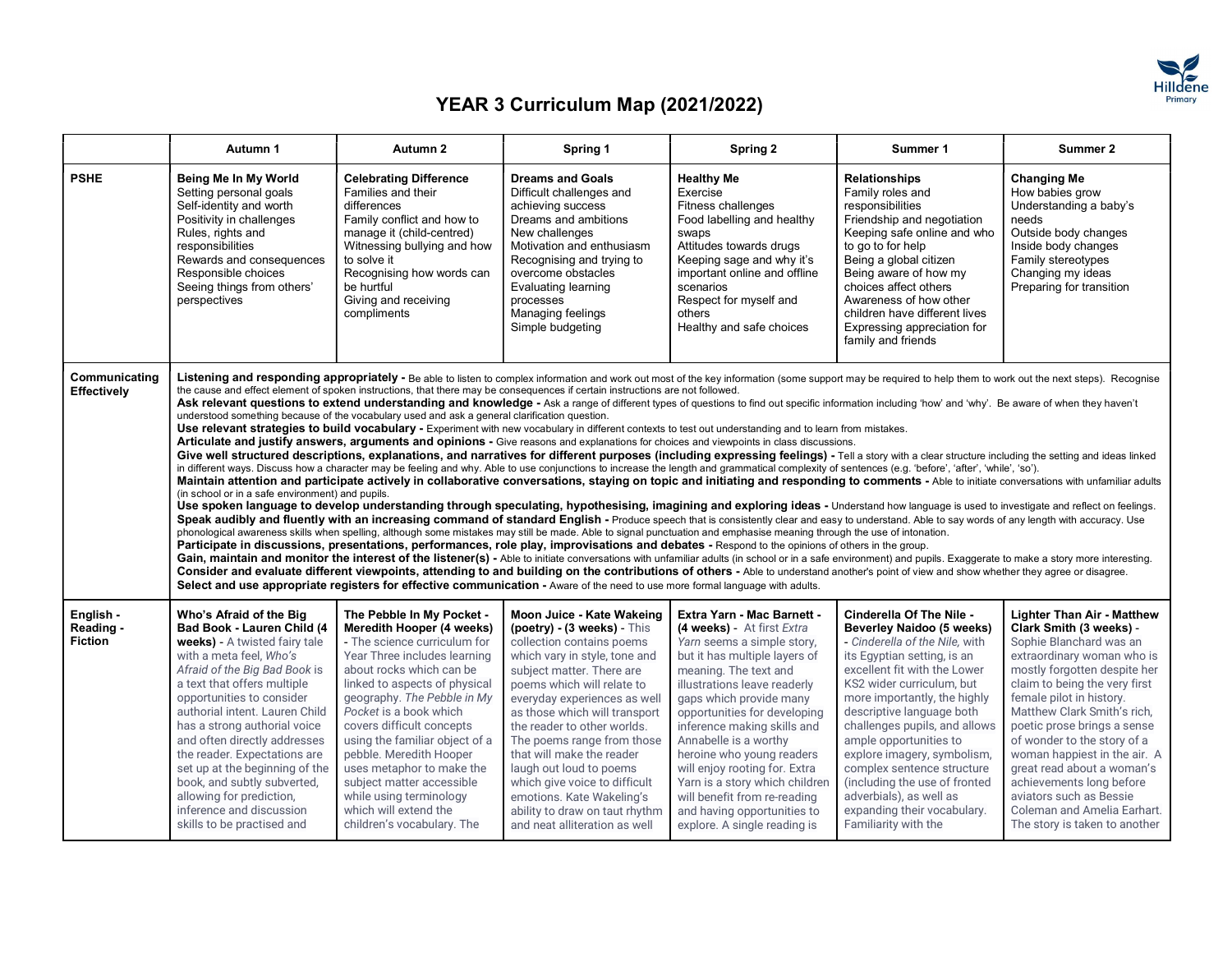

|                                          | Autumn 1                                                                                                                                                                                                                                                                                                                                                                                                                                                                                                | Autumn 2                                                                                                                                                                                                                                                                                                                                                                                                                                                                           | Spring 1                                                                                                                                                                                                                                                                                                                                                                                                                                                                                                                                                                                                                                                                                                                                                                                                                                                                                                                                                                                                                                                                                                                                                                                                                                                                                                                                                                                                                                                                                                                                                                                                                                                                                                                                                                                                                                                                                                                                                                                                                                                                                                                                                                                                                                                                                                                                                                                                                                                                                                                                                                                                                                                                                                                                                      | Spring 2                                                                                                                                                                                                                                                                                                                                                                                                                                                                                                  | Summer 1                                                                                                                                                                                                                                                                                                                                                                                                                                                                                    | Summer 2                                                                                                                                                                                                                                                                                                                                                                                                                                                                                             |
|------------------------------------------|---------------------------------------------------------------------------------------------------------------------------------------------------------------------------------------------------------------------------------------------------------------------------------------------------------------------------------------------------------------------------------------------------------------------------------------------------------------------------------------------------------|------------------------------------------------------------------------------------------------------------------------------------------------------------------------------------------------------------------------------------------------------------------------------------------------------------------------------------------------------------------------------------------------------------------------------------------------------------------------------------|---------------------------------------------------------------------------------------------------------------------------------------------------------------------------------------------------------------------------------------------------------------------------------------------------------------------------------------------------------------------------------------------------------------------------------------------------------------------------------------------------------------------------------------------------------------------------------------------------------------------------------------------------------------------------------------------------------------------------------------------------------------------------------------------------------------------------------------------------------------------------------------------------------------------------------------------------------------------------------------------------------------------------------------------------------------------------------------------------------------------------------------------------------------------------------------------------------------------------------------------------------------------------------------------------------------------------------------------------------------------------------------------------------------------------------------------------------------------------------------------------------------------------------------------------------------------------------------------------------------------------------------------------------------------------------------------------------------------------------------------------------------------------------------------------------------------------------------------------------------------------------------------------------------------------------------------------------------------------------------------------------------------------------------------------------------------------------------------------------------------------------------------------------------------------------------------------------------------------------------------------------------------------------------------------------------------------------------------------------------------------------------------------------------------------------------------------------------------------------------------------------------------------------------------------------------------------------------------------------------------------------------------------------------------------------------------------------------------------------------------------------------|-----------------------------------------------------------------------------------------------------------------------------------------------------------------------------------------------------------------------------------------------------------------------------------------------------------------------------------------------------------------------------------------------------------------------------------------------------------------------------------------------------------|---------------------------------------------------------------------------------------------------------------------------------------------------------------------------------------------------------------------------------------------------------------------------------------------------------------------------------------------------------------------------------------------------------------------------------------------------------------------------------------------|------------------------------------------------------------------------------------------------------------------------------------------------------------------------------------------------------------------------------------------------------------------------------------------------------------------------------------------------------------------------------------------------------------------------------------------------------------------------------------------------------|
| <b>PSHE</b>                              | Being Me In My World<br>Setting personal goals<br>Self-identity and worth<br>Positivity in challenges<br>Rules, rights and<br>responsibilities<br>Rewards and consequences<br>Responsible choices<br>Seeing things from others'<br>perspectives                                                                                                                                                                                                                                                         | <b>Celebrating Difference</b><br>Families and their<br>differences<br>Family conflict and how to<br>manage it (child-centred)<br>Witnessing bullying and how<br>to solve it<br>Recognising how words can<br>be hurtful<br>Giving and receiving<br>compliments                                                                                                                                                                                                                      | <b>Dreams and Goals</b><br>Difficult challenges and<br>achieving success<br>Dreams and ambitions<br>New challenges<br>Motivation and enthusiasm<br>Recognising and trying to<br>overcome obstacles<br><b>Evaluating learning</b><br>processes<br>Managing feelings<br>Simple budgeting                                                                                                                                                                                                                                                                                                                                                                                                                                                                                                                                                                                                                                                                                                                                                                                                                                                                                                                                                                                                                                                                                                                                                                                                                                                                                                                                                                                                                                                                                                                                                                                                                                                                                                                                                                                                                                                                                                                                                                                                                                                                                                                                                                                                                                                                                                                                                                                                                                                                        | <b>Healthy Me</b><br>Exercise<br>Fitness challenges<br>Food labelling and healthy<br>swaps<br>Attitudes towards drugs<br>Keeping sage and why it's<br>important online and offline<br>scenarios<br>Respect for myself and<br>others<br>Healthy and safe choices                                                                                                                                                                                                                                           | <b>Relationships</b><br>Family roles and<br>responsibilities<br>Friendship and negotiation<br>Keeping safe online and who<br>to go to for help<br>Being a global citizen<br>Being aware of how my<br>choices affect others<br>Awareness of how other<br>children have different lives<br>Expressing appreciation for<br>family and friends                                                                                                                                                  | <b>Changing Me</b><br>How babies grow<br>Understanding a baby's<br>needs<br>Outside body changes<br>Inside body changes<br>Family stereotypes<br>Changing my ideas<br>Preparing for transition                                                                                                                                                                                                                                                                                                       |
| Communicating<br>Effectively             | (in school or in a safe environment) and pupils.                                                                                                                                                                                                                                                                                                                                                                                                                                                        | understood something because of the vocabulary used and ask a general clarification question.                                                                                                                                                                                                                                                                                                                                                                                      | Listening and responding appropriately - Be able to listen to complex information and work out most of the key information (some support may be required to help them to work out the next steps). Recognise<br>the cause and effect element of spoken instructions, that there may be consequences if certain instructions are not followed.<br>Ask relevant questions to extend understanding and knowledge - Ask a range of different types of questions to find out specific information including 'how' and 'why'. Be aware of when they haven't<br>Use relevant strategies to build vocabulary - Experiment with new vocabulary in different contexts to test out understanding and to learn from mistakes.<br>Articulate and justify answers, arguments and opinions - Give reasons and explanations for choices and viewpoints in class discussions.<br>Give well structured descriptions, explanations, and narratives for different purposes (including expressing feelings) - Tell a story with a clear structure including the setting and ideas linked<br>in different ways. Discuss how a character may be feeling and why. Able to use conjunctions to increase the length and grammatical complexity of sentences (e.g. 'before', 'after', 'while', 'so').<br>Maintain attention and participate actively in collaborative conversations, staying on topic and initiating and responding to comments - Able to initiate conversations with unfamiliar adults<br>Use spoken language to develop understanding through speculating, hypothesising, imagining and exploring ideas - Understand how language is used to investigate and reflect on feelings.<br>Speak audibly and fluently with an increasing command of standard English - Produce speech that is consistently clear and easy to understand. Able to say words of any length with accuracy. Use<br>phonological awareness skills when spelling, although some mistakes may still be made. Able to signal punctuation and emphasise meaning through the use of intonation.<br>Participate in discussions, presentations, performances, role play, improvisations and debates - Respond to the opinions of others in the group.<br>Gain, maintain and monitor the interest of the listener(s) - Able to initiate conversations with unfamiliar adults (in school or in a safe environment) and pupils. Exaggerate to make a story more interesting.<br>Consider and evaluate different viewpoints, attending to and building on the contributions of others - Able to understand another's point of view and show whether they agree or disagree.<br>Select and use appropriate registers for effective communication - Aware of the need to use more formal language with adults. |                                                                                                                                                                                                                                                                                                                                                                                                                                                                                                           |                                                                                                                                                                                                                                                                                                                                                                                                                                                                                             |                                                                                                                                                                                                                                                                                                                                                                                                                                                                                                      |
| English -<br>Reading -<br><b>Fiction</b> | Who's Afraid of the Big<br>Bad Book - Lauren Child (4<br>weeks) - A twisted fairy tale<br>with a meta feel, Who's<br>Afraid of the Big Bad Book is<br>a text that offers multiple<br>opportunities to consider<br>authorial intent. Lauren Child<br>has a strong authorial voice<br>and often directly addresses<br>the reader. Expectations are<br>set up at the beginning of the<br>book, and subtly subverted,<br>allowing for prediction,<br>inference and discussion<br>skills to be practised and | The Pebble In My Pocket -<br>Meredith Hooper (4 weeks)<br>- The science curriculum for<br>Year Three includes learning<br>about rocks which can be<br>linked to aspects of physical<br>geography. The Pebble in My<br>Pocket is a book which<br>covers difficult concepts<br>using the familiar object of a<br>pebble. Meredith Hooper<br>uses metaphor to make the<br>subject matter accessible<br>while using terminology<br>which will extend the<br>children's vocabulary. The | Moon Juice - Kate Wakeing<br>$(poetry) - (3 weeks) - This$<br>collection contains poems<br>which vary in style, tone and<br>subject matter. There are<br>poems which will relate to<br>everyday experiences as well<br>as those which will transport<br>the reader to other worlds.<br>The poems range from those<br>that will make the reader<br>laugh out loud to poems<br>which give voice to difficult<br>emotions. Kate Wakeling's<br>ability to draw on taut rhythm<br>and neat alliteration as well                                                                                                                                                                                                                                                                                                                                                                                                                                                                                                                                                                                                                                                                                                                                                                                                                                                                                                                                                                                                                                                                                                                                                                                                                                                                                                                                                                                                                                                                                                                                                                                                                                                                                                                                                                                                                                                                                                                                                                                                                                                                                                                                                                                                                                                    | <b>Extra Yarn - Mac Barnett -</b><br>(4 weeks) - At first Extra<br>Yarn seems a simple story,<br>but it has multiple layers of<br>meaning. The text and<br>illustrations leave readerly<br>gaps which provide many<br>opportunities for developing<br>inference making skills and<br>Annabelle is a worthy<br>heroine who young readers<br>will enjoy rooting for. Extra<br>Yarn is a story which children<br>will benefit from re-reading<br>and having opportunities to<br>explore. A single reading is | Cinderella Of The Nile -<br>Beverley Naidoo (5 weeks)<br>- Cinderella of the Nile, with<br>its Egyptian setting, is an<br>excellent fit with the Lower<br>KS2 wider curriculum, but<br>more importantly, the highly<br>descriptive language both<br>challenges pupils, and allows<br>ample opportunities to<br>explore imagery, symbolism,<br>complex sentence structure<br>(including the use of fronted<br>adverbials), as well as<br>expanding their vocabulary.<br>Familiarity with the | <b>Lighter Than Air - Matthew</b><br>Clark Smith (3 weeks) -<br>Sophie Blanchard was an<br>extraordinary woman who is<br>mostly forgotten despite her<br>claim to being the very first<br>female pilot in history.<br>Matthew Clark Smith's rich,<br>poetic prose brings a sense<br>of wonder to the story of a<br>woman happiest in the air. A<br>great read about a woman's<br>achievements long before<br>aviators such as Bessie<br>Coleman and Amelia Earhart.<br>The story is taken to another |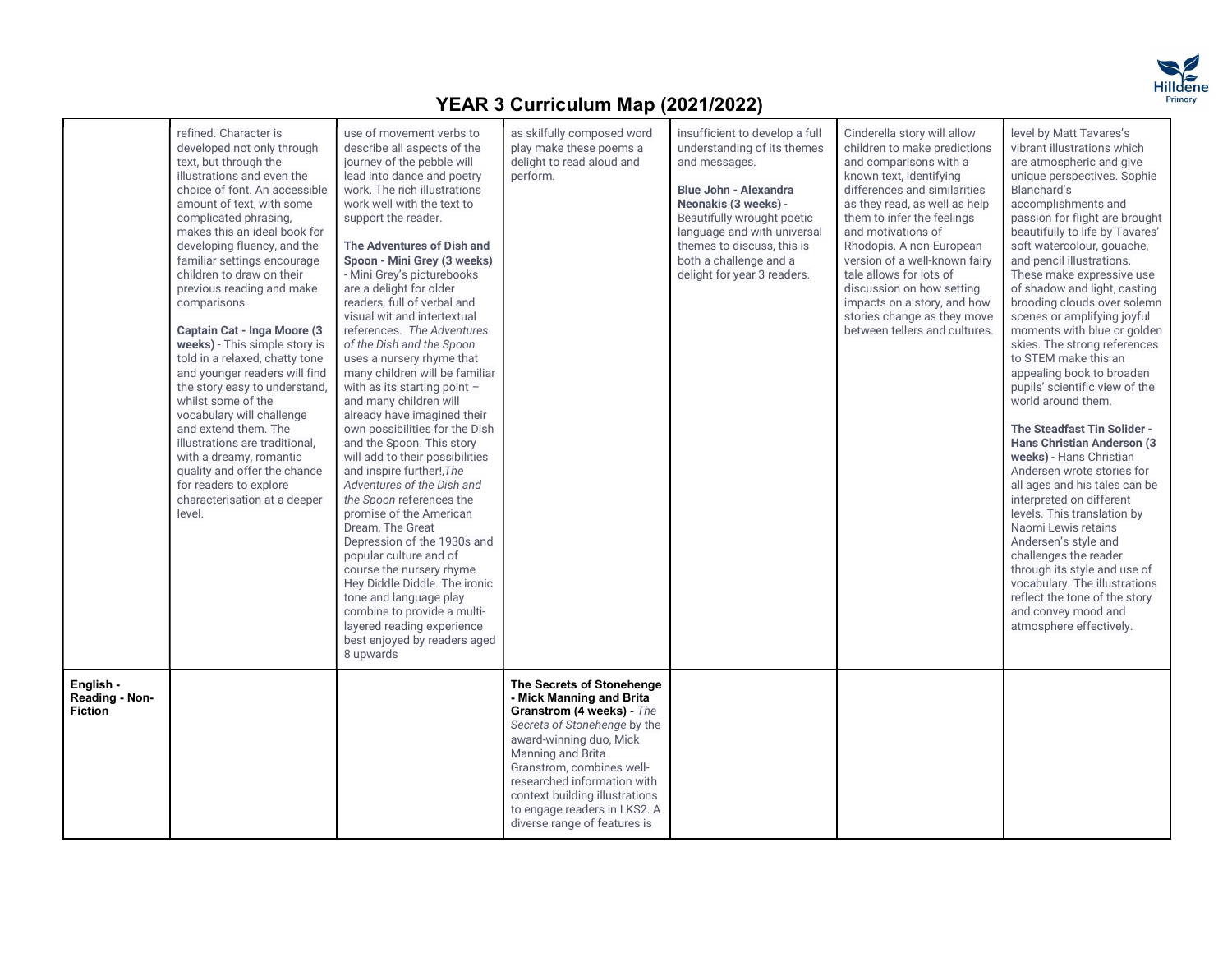

|                                               | refined. Character is<br>developed not only through<br>text, but through the<br>illustrations and even the<br>choice of font. An accessible<br>amount of text, with some<br>complicated phrasing,<br>makes this an ideal book for<br>developing fluency, and the<br>familiar settings encourage<br>children to draw on their<br>previous reading and make<br>comparisons.<br>Captain Cat - Inga Moore (3<br>weeks) - This simple story is<br>told in a relaxed, chatty tone<br>and younger readers will find<br>the story easy to understand,<br>whilst some of the<br>vocabulary will challenge<br>and extend them. The<br>illustrations are traditional.<br>with a dreamy, romantic<br>quality and offer the chance<br>for readers to explore<br>characterisation at a deeper<br>level. | use of movement verbs to<br>describe all aspects of the<br>journey of the pebble will<br>lead into dance and poetry<br>work. The rich illustrations<br>work well with the text to<br>support the reader.<br>The Adventures of Dish and<br>Spoon - Mini Grey (3 weeks)<br>- Mini Grey's picturebooks<br>are a delight for older<br>readers, full of verbal and<br>visual wit and intertextual<br>references. The Adventures<br>of the Dish and the Spoon<br>uses a nursery rhyme that<br>many children will be familiar<br>with as its starting point -<br>and many children will<br>already have imagined their<br>own possibilities for the Dish<br>and the Spoon. This story<br>will add to their possibilities<br>and inspire further!, The<br>Adventures of the Dish and<br>the Spoon references the<br>promise of the American<br>Dream. The Great<br>Depression of the 1930s and<br>popular culture and of<br>course the nursery rhyme<br>Hey Diddle Diddle. The ironic<br>tone and language play<br>combine to provide a multi-<br>layered reading experience<br>best enjoyed by readers aged<br>8 upwards | as skilfully composed word<br>play make these poems a<br>delight to read aloud and<br>perform.                                                                                                                                                                                                                                   | insufficient to develop a full<br>understanding of its themes<br>and messages.<br><b>Blue John - Alexandra</b><br>Neonakis (3 weeks) -<br>Beautifully wrought poetic<br>language and with universal<br>themes to discuss, this is<br>both a challenge and a<br>delight for year 3 readers. | Cinderella story will allow<br>children to make predictions<br>and comparisons with a<br>known text, identifying<br>differences and similarities<br>as they read, as well as help<br>them to infer the feelings<br>and motivations of<br>Rhodopis. A non-European<br>version of a well-known fairy<br>tale allows for lots of<br>discussion on how setting<br>impacts on a story, and how<br>stories change as they move<br>between tellers and cultures. | level by Matt Tavares's<br>vibrant illustrations which<br>are atmospheric and give<br>unique perspectives. Sophie<br>Blanchard's<br>accomplishments and<br>passion for flight are brought<br>beautifully to life by Tavares'<br>soft watercolour, gouache,<br>and pencil illustrations.<br>These make expressive use<br>of shadow and light, casting<br>brooding clouds over solemn<br>scenes or amplifying joyful<br>moments with blue or golden<br>skies. The strong references<br>to STEM make this an<br>appealing book to broaden<br>pupils' scientific view of the<br>world around them.<br>The Steadfast Tin Solider -<br><b>Hans Christian Anderson (3)</b><br>weeks) - Hans Christian<br>Andersen wrote stories for<br>all ages and his tales can be<br>interpreted on different<br>levels. This translation by<br>Naomi Lewis retains<br>Andersen's style and<br>challenges the reader<br>through its style and use of<br>vocabulary. The illustrations<br>reflect the tone of the story<br>and convey mood and<br>atmosphere effectively. |  |
|-----------------------------------------------|-------------------------------------------------------------------------------------------------------------------------------------------------------------------------------------------------------------------------------------------------------------------------------------------------------------------------------------------------------------------------------------------------------------------------------------------------------------------------------------------------------------------------------------------------------------------------------------------------------------------------------------------------------------------------------------------------------------------------------------------------------------------------------------------|-------------------------------------------------------------------------------------------------------------------------------------------------------------------------------------------------------------------------------------------------------------------------------------------------------------------------------------------------------------------------------------------------------------------------------------------------------------------------------------------------------------------------------------------------------------------------------------------------------------------------------------------------------------------------------------------------------------------------------------------------------------------------------------------------------------------------------------------------------------------------------------------------------------------------------------------------------------------------------------------------------------------------------------------------------------------------------------------------------------------|----------------------------------------------------------------------------------------------------------------------------------------------------------------------------------------------------------------------------------------------------------------------------------------------------------------------------------|--------------------------------------------------------------------------------------------------------------------------------------------------------------------------------------------------------------------------------------------------------------------------------------------|-----------------------------------------------------------------------------------------------------------------------------------------------------------------------------------------------------------------------------------------------------------------------------------------------------------------------------------------------------------------------------------------------------------------------------------------------------------|------------------------------------------------------------------------------------------------------------------------------------------------------------------------------------------------------------------------------------------------------------------------------------------------------------------------------------------------------------------------------------------------------------------------------------------------------------------------------------------------------------------------------------------------------------------------------------------------------------------------------------------------------------------------------------------------------------------------------------------------------------------------------------------------------------------------------------------------------------------------------------------------------------------------------------------------------------------------------------------------------------------------------------------------------|--|
| English -<br>Reading - Non-<br><b>Fiction</b> |                                                                                                                                                                                                                                                                                                                                                                                                                                                                                                                                                                                                                                                                                                                                                                                           |                                                                                                                                                                                                                                                                                                                                                                                                                                                                                                                                                                                                                                                                                                                                                                                                                                                                                                                                                                                                                                                                                                                   | The Secrets of Stonehenge<br>- Mick Manning and Brita<br>Granstrom (4 weeks) - The<br>Secrets of Stonehenge by the<br>award-winning duo, Mick<br>Manning and Brita<br>Granstrom, combines well-<br>researched information with<br>context building illustrations<br>to engage readers in LKS2. A<br>diverse range of features is |                                                                                                                                                                                                                                                                                            |                                                                                                                                                                                                                                                                                                                                                                                                                                                           |                                                                                                                                                                                                                                                                                                                                                                                                                                                                                                                                                                                                                                                                                                                                                                                                                                                                                                                                                                                                                                                      |  |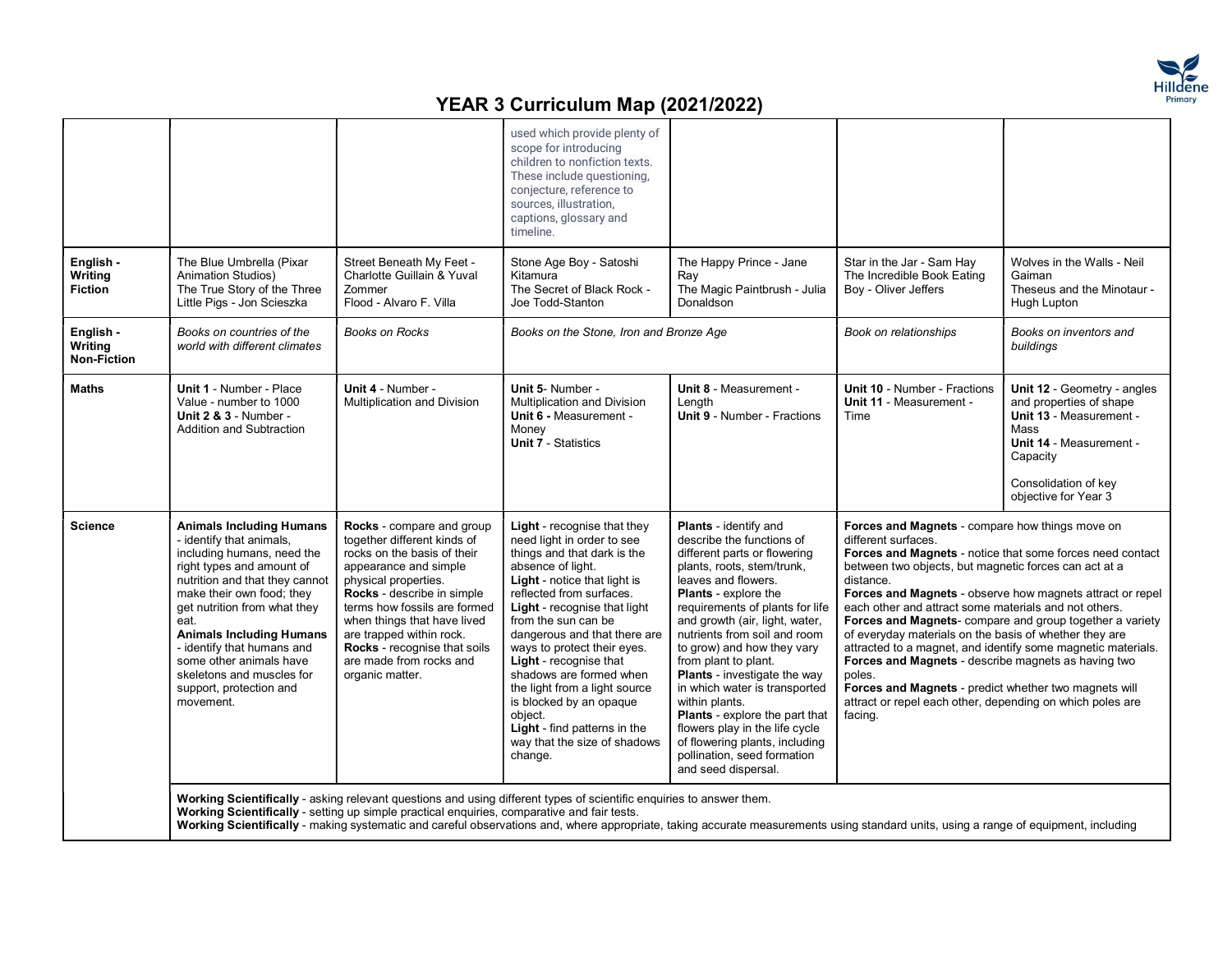

|                                        |                                                                                                                                                                                                                                                                                                                                                                                                |                                                                                                                                                                                                                                                                                                                                                 | used which provide plenty of<br>scope for introducing<br>children to nonfiction texts.<br>These include questioning,<br>conjecture, reference to<br>sources, illustration,<br>captions, glossary and<br>timeline.                                                                                                                                                                                                                                                                                                           |                                                                                                                                                                                                                                                                                                                                                                                                                                                                                                                                                                                                |                                                                                                                                                                                                                                                                                                                                                                                                                                                                                                                                                                                                       |                                                                                                                                                                                  |
|----------------------------------------|------------------------------------------------------------------------------------------------------------------------------------------------------------------------------------------------------------------------------------------------------------------------------------------------------------------------------------------------------------------------------------------------|-------------------------------------------------------------------------------------------------------------------------------------------------------------------------------------------------------------------------------------------------------------------------------------------------------------------------------------------------|-----------------------------------------------------------------------------------------------------------------------------------------------------------------------------------------------------------------------------------------------------------------------------------------------------------------------------------------------------------------------------------------------------------------------------------------------------------------------------------------------------------------------------|------------------------------------------------------------------------------------------------------------------------------------------------------------------------------------------------------------------------------------------------------------------------------------------------------------------------------------------------------------------------------------------------------------------------------------------------------------------------------------------------------------------------------------------------------------------------------------------------|-------------------------------------------------------------------------------------------------------------------------------------------------------------------------------------------------------------------------------------------------------------------------------------------------------------------------------------------------------------------------------------------------------------------------------------------------------------------------------------------------------------------------------------------------------------------------------------------------------|----------------------------------------------------------------------------------------------------------------------------------------------------------------------------------|
| English -<br>Writing<br><b>Fiction</b> | The Blue Umbrella (Pixar<br><b>Animation Studios)</b><br>The True Story of the Three<br>Little Pigs - Jon Scieszka                                                                                                                                                                                                                                                                             | Street Beneath My Feet -<br>Charlotte Guillain & Yuval<br>Zommer<br>Flood - Alvaro F. Villa                                                                                                                                                                                                                                                     | Stone Age Boy - Satoshi<br>Kitamura<br>The Secret of Black Rock -<br>Joe Todd-Stanton                                                                                                                                                                                                                                                                                                                                                                                                                                       | The Happy Prince - Jane<br>Rav<br>The Magic Paintbrush - Julia<br>Donaldson                                                                                                                                                                                                                                                                                                                                                                                                                                                                                                                    | Star in the Jar - Sam Hay<br>The Incredible Book Eating<br>Boy - Oliver Jeffers                                                                                                                                                                                                                                                                                                                                                                                                                                                                                                                       | Wolves in the Walls - Neil<br>Gaiman<br>Theseus and the Minotaur -<br>Hugh Lupton                                                                                                |
| English -<br>Writing<br>Non-Fiction    | Books on countries of the<br>world with different climates                                                                                                                                                                                                                                                                                                                                     | <b>Books on Rocks</b>                                                                                                                                                                                                                                                                                                                           | Books on the Stone, Iron and Bronze Age                                                                                                                                                                                                                                                                                                                                                                                                                                                                                     |                                                                                                                                                                                                                                                                                                                                                                                                                                                                                                                                                                                                | Book on relationships                                                                                                                                                                                                                                                                                                                                                                                                                                                                                                                                                                                 | Books on inventors and<br>buildings                                                                                                                                              |
| <b>Maths</b>                           | <b>Unit 1 - Number - Place</b><br>Value - number to 1000<br><b>Unit 2 &amp; 3 - Number -</b><br>Addition and Subtraction                                                                                                                                                                                                                                                                       | Unit 4 - Number -<br>Multiplication and Division                                                                                                                                                                                                                                                                                                | Unit 5- Number -<br><b>Multiplication and Division</b><br><b>Unit 6 - Measurement -</b><br>Money<br><b>Unit 7 - Statistics</b>                                                                                                                                                                                                                                                                                                                                                                                              | Unit 8 - Measurement -<br>Length<br><b>Unit 9 - Number - Fractions</b>                                                                                                                                                                                                                                                                                                                                                                                                                                                                                                                         | <b>Unit 10 - Number - Fractions</b><br>Unit 11 - Measurement -<br>Time                                                                                                                                                                                                                                                                                                                                                                                                                                                                                                                                | Unit 12 - Geometry - angles<br>and properties of shape<br>Unit 13 - Measurement -<br>Mass<br>Unit 14 - Measurement -<br>Capacity<br>Consolidation of key<br>objective for Year 3 |
| <b>Science</b>                         | <b>Animals Including Humans</b><br>- identify that animals,<br>including humans, need the<br>right types and amount of<br>nutrition and that they cannot<br>make their own food; they<br>get nutrition from what they<br>eat.<br><b>Animals Including Humans</b><br>- identify that humans and<br>some other animals have<br>skeletons and muscles for<br>support, protection and<br>movement. | Rocks - compare and group<br>together different kinds of<br>rocks on the basis of their<br>appearance and simple<br>physical properties.<br>Rocks - describe in simple<br>terms how fossils are formed<br>when things that have lived<br>are trapped within rock.<br>Rocks - recognise that soils<br>are made from rocks and<br>organic matter. | Light - recognise that they<br>need light in order to see<br>things and that dark is the<br>absence of light.<br><b>Light</b> - notice that light is<br>reflected from surfaces.<br><b>Light</b> - recognise that light<br>from the sun can be<br>dangerous and that there are<br>ways to protect their eyes.<br><b>Light</b> - recognise that<br>shadows are formed when<br>the light from a light source<br>is blocked by an opaque<br>object.<br>Light - find patterns in the<br>way that the size of shadows<br>change. | <b>Plants</b> - identify and<br>describe the functions of<br>different parts or flowering<br>plants, roots, stem/trunk,<br>leaves and flowers.<br><b>Plants</b> - explore the<br>requirements of plants for life<br>and growth (air, light, water,<br>nutrients from soil and room<br>to grow) and how they vary<br>from plant to plant.<br><b>Plants</b> - investigate the way<br>in which water is transported<br>within plants.<br>Plants - explore the part that<br>flowers play in the life cycle<br>of flowering plants, including<br>pollination, seed formation<br>and seed dispersal. | Forces and Magnets - compare how things move on<br>different surfaces.<br>Forces and Magnets - notice that some forces need contact<br>between two objects, but magnetic forces can act at a<br>distance.<br>each other and attract some materials and not others.<br>of everyday materials on the basis of whether they are<br>attracted to a magnet, and identify some magnetic materials.<br><b>Forces and Magnets</b> - describe magnets as having two<br>poles.<br>Forces and Magnets - predict whether two magnets will<br>attract or repel each other, depending on which poles are<br>facing. | Forces and Magnets - observe how magnets attract or repel<br>Forces and Magnets-compare and group together a variety                                                             |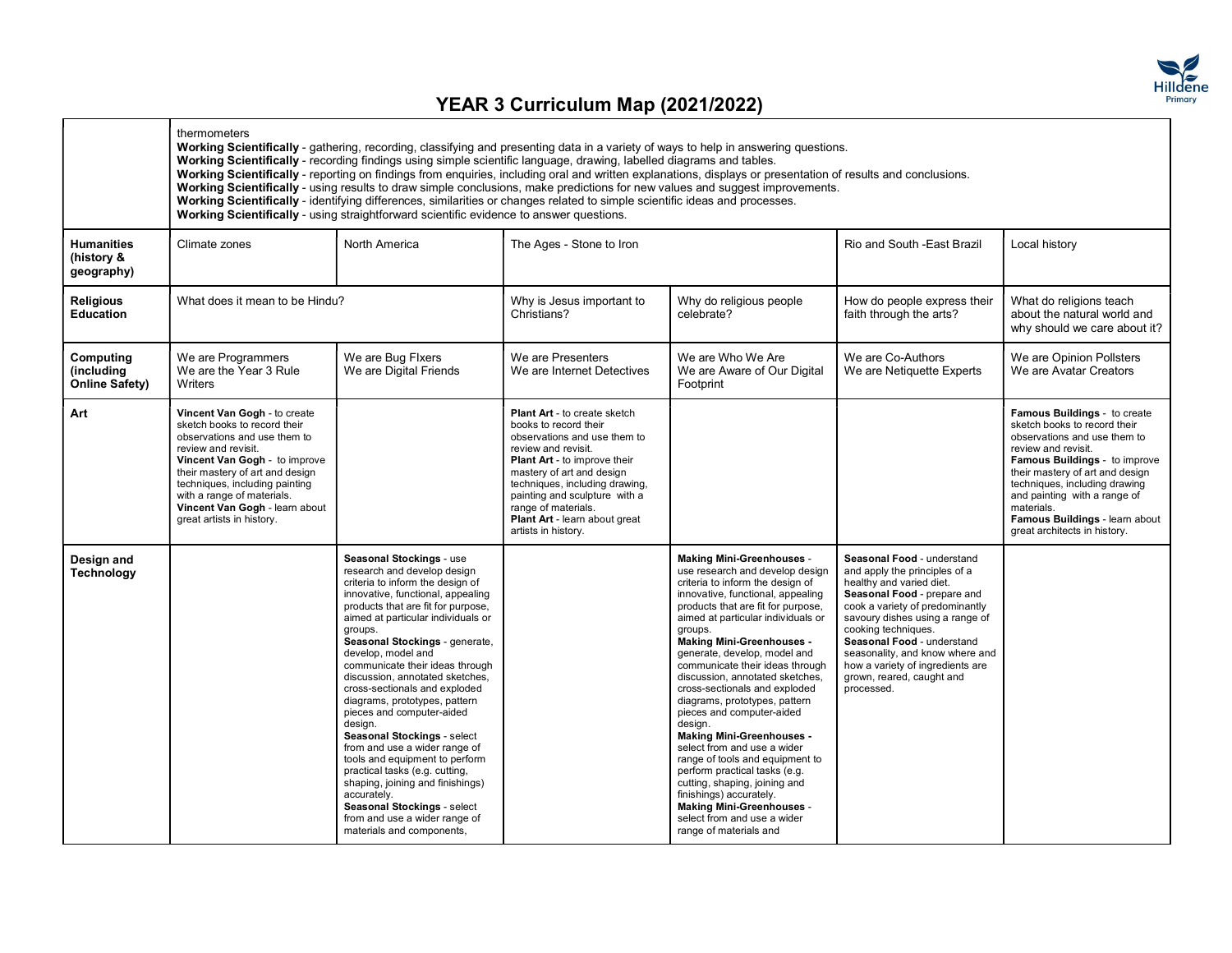

|                                                   | thermometers<br>Working Scientifically - gathering, recording, classifying and presenting data in a variety of ways to help in answering questions.<br>Working Scientifically - recording findings using simple scientific language, drawing, labelled diagrams and tables.<br>Working Scientifically - reporting on findings from enguiries, including oral and written explanations, displays or presentation of results and conclusions.<br>Working Scientifically - using results to draw simple conclusions, make predictions for new values and suggest improvements.<br>Working Scientifically - identifying differences, similarities or changes related to simple scientific ideas and processes.<br>Working Scientifically - using straightforward scientific evidence to answer questions. |                                                                                                                                                                                                                                                                                                                                                                                                                                                                                                                                                                                                                                                                                                                                                     |                                                                                                                                                                                                                                                                                                                                           |                                                                                                                                                                                                                                                                                                                                                                                                                                                                                                                                                                                                                                                                                                                                                                                         |                                                                                                                                                                                                                                                                                                                                                                     |                                                                                                                                                                                                                                                                                                                                          |
|---------------------------------------------------|-------------------------------------------------------------------------------------------------------------------------------------------------------------------------------------------------------------------------------------------------------------------------------------------------------------------------------------------------------------------------------------------------------------------------------------------------------------------------------------------------------------------------------------------------------------------------------------------------------------------------------------------------------------------------------------------------------------------------------------------------------------------------------------------------------|-----------------------------------------------------------------------------------------------------------------------------------------------------------------------------------------------------------------------------------------------------------------------------------------------------------------------------------------------------------------------------------------------------------------------------------------------------------------------------------------------------------------------------------------------------------------------------------------------------------------------------------------------------------------------------------------------------------------------------------------------------|-------------------------------------------------------------------------------------------------------------------------------------------------------------------------------------------------------------------------------------------------------------------------------------------------------------------------------------------|-----------------------------------------------------------------------------------------------------------------------------------------------------------------------------------------------------------------------------------------------------------------------------------------------------------------------------------------------------------------------------------------------------------------------------------------------------------------------------------------------------------------------------------------------------------------------------------------------------------------------------------------------------------------------------------------------------------------------------------------------------------------------------------------|---------------------------------------------------------------------------------------------------------------------------------------------------------------------------------------------------------------------------------------------------------------------------------------------------------------------------------------------------------------------|------------------------------------------------------------------------------------------------------------------------------------------------------------------------------------------------------------------------------------------------------------------------------------------------------------------------------------------|
| <b>Humanities</b><br>(history &<br>geography)     | Climate zones                                                                                                                                                                                                                                                                                                                                                                                                                                                                                                                                                                                                                                                                                                                                                                                         | North America                                                                                                                                                                                                                                                                                                                                                                                                                                                                                                                                                                                                                                                                                                                                       | The Ages - Stone to Iron                                                                                                                                                                                                                                                                                                                  |                                                                                                                                                                                                                                                                                                                                                                                                                                                                                                                                                                                                                                                                                                                                                                                         | Rio and South - East Brazil                                                                                                                                                                                                                                                                                                                                         | Local history                                                                                                                                                                                                                                                                                                                            |
| <b>Religious</b><br><b>Education</b>              | What does it mean to be Hindu?                                                                                                                                                                                                                                                                                                                                                                                                                                                                                                                                                                                                                                                                                                                                                                        |                                                                                                                                                                                                                                                                                                                                                                                                                                                                                                                                                                                                                                                                                                                                                     | Why is Jesus important to<br>Christians?                                                                                                                                                                                                                                                                                                  | Why do religious people<br>celebrate?                                                                                                                                                                                                                                                                                                                                                                                                                                                                                                                                                                                                                                                                                                                                                   | How do people express their<br>faith through the arts?                                                                                                                                                                                                                                                                                                              | What do religions teach<br>about the natural world and<br>why should we care about it?                                                                                                                                                                                                                                                   |
| Computing<br>(including)<br><b>Online Safety)</b> | We are Programmers<br>We are the Year 3 Rule<br>Writers                                                                                                                                                                                                                                                                                                                                                                                                                                                                                                                                                                                                                                                                                                                                               | We are Bug Flxers<br>We are Digital Friends                                                                                                                                                                                                                                                                                                                                                                                                                                                                                                                                                                                                                                                                                                         | We are Presenters<br>We are Internet Detectives                                                                                                                                                                                                                                                                                           | We are Who We Are<br>We are Aware of Our Digital<br>Footprint                                                                                                                                                                                                                                                                                                                                                                                                                                                                                                                                                                                                                                                                                                                           | We are Co-Authors<br>We are Netiquette Experts                                                                                                                                                                                                                                                                                                                      | We are Opinion Pollsters<br>We are Avatar Creators                                                                                                                                                                                                                                                                                       |
| Art                                               | Vincent Van Gogh - to create<br>sketch books to record their<br>observations and use them to<br>review and revisit.<br>Vincent Van Gogh - to improve<br>their mastery of art and design<br>techniques, including painting<br>with a range of materials.<br>Vincent Van Gogh - learn about<br>great artists in history.                                                                                                                                                                                                                                                                                                                                                                                                                                                                                |                                                                                                                                                                                                                                                                                                                                                                                                                                                                                                                                                                                                                                                                                                                                                     | <b>Plant Art - to create sketch</b><br>books to record their<br>observations and use them to<br>review and revisit.<br><b>Plant Art - to improve their</b><br>mastery of art and design<br>techniques, including drawing,<br>painting and sculpture with a<br>range of materials.<br>Plant Art - learn about great<br>artists in history. |                                                                                                                                                                                                                                                                                                                                                                                                                                                                                                                                                                                                                                                                                                                                                                                         |                                                                                                                                                                                                                                                                                                                                                                     | Famous Buildings - to create<br>sketch books to record their<br>observations and use them to<br>review and revisit.<br>Famous Buildings - to improve<br>their mastery of art and design<br>techniques, including drawing<br>and painting with a range of<br>materials.<br>Famous Buildings - learn about<br>great architects in history. |
| Design and<br>Technology                          |                                                                                                                                                                                                                                                                                                                                                                                                                                                                                                                                                                                                                                                                                                                                                                                                       | Seasonal Stockings - use<br>research and develop design<br>criteria to inform the design of<br>innovative, functional, appealing<br>products that are fit for purpose,<br>aimed at particular individuals or<br>groups.<br>Seasonal Stockings - generate,<br>develop, model and<br>communicate their ideas through<br>discussion, annotated sketches,<br>cross-sectionals and exploded<br>diagrams, prototypes, pattern<br>pieces and computer-aided<br>design.<br>Seasonal Stockings - select<br>from and use a wider range of<br>tools and equipment to perform<br>practical tasks (e.g. cutting,<br>shaping, joining and finishings)<br>accurately.<br>Seasonal Stockings - select<br>from and use a wider range of<br>materials and components, |                                                                                                                                                                                                                                                                                                                                           | <b>Making Mini-Greenhouses -</b><br>use research and develop design<br>criteria to inform the design of<br>innovative, functional, appealing<br>products that are fit for purpose,<br>aimed at particular individuals or<br>groups.<br><b>Making Mini-Greenhouses -</b><br>generate, develop, model and<br>communicate their ideas through<br>discussion, annotated sketches,<br>cross-sectionals and exploded<br>diagrams, prototypes, pattern<br>pieces and computer-aided<br>design.<br><b>Making Mini-Greenhouses -</b><br>select from and use a wider<br>range of tools and equipment to<br>perform practical tasks (e.g.<br>cutting, shaping, joining and<br>finishings) accurately.<br><b>Making Mini-Greenhouses -</b><br>select from and use a wider<br>range of materials and | Seasonal Food - understand<br>and apply the principles of a<br>healthy and varied diet.<br>Seasonal Food - prepare and<br>cook a variety of predominantly<br>savoury dishes using a range of<br>cooking techniques.<br>Seasonal Food - understand<br>seasonality, and know where and<br>how a variety of ingredients are<br>grown, reared, caught and<br>processed. |                                                                                                                                                                                                                                                                                                                                          |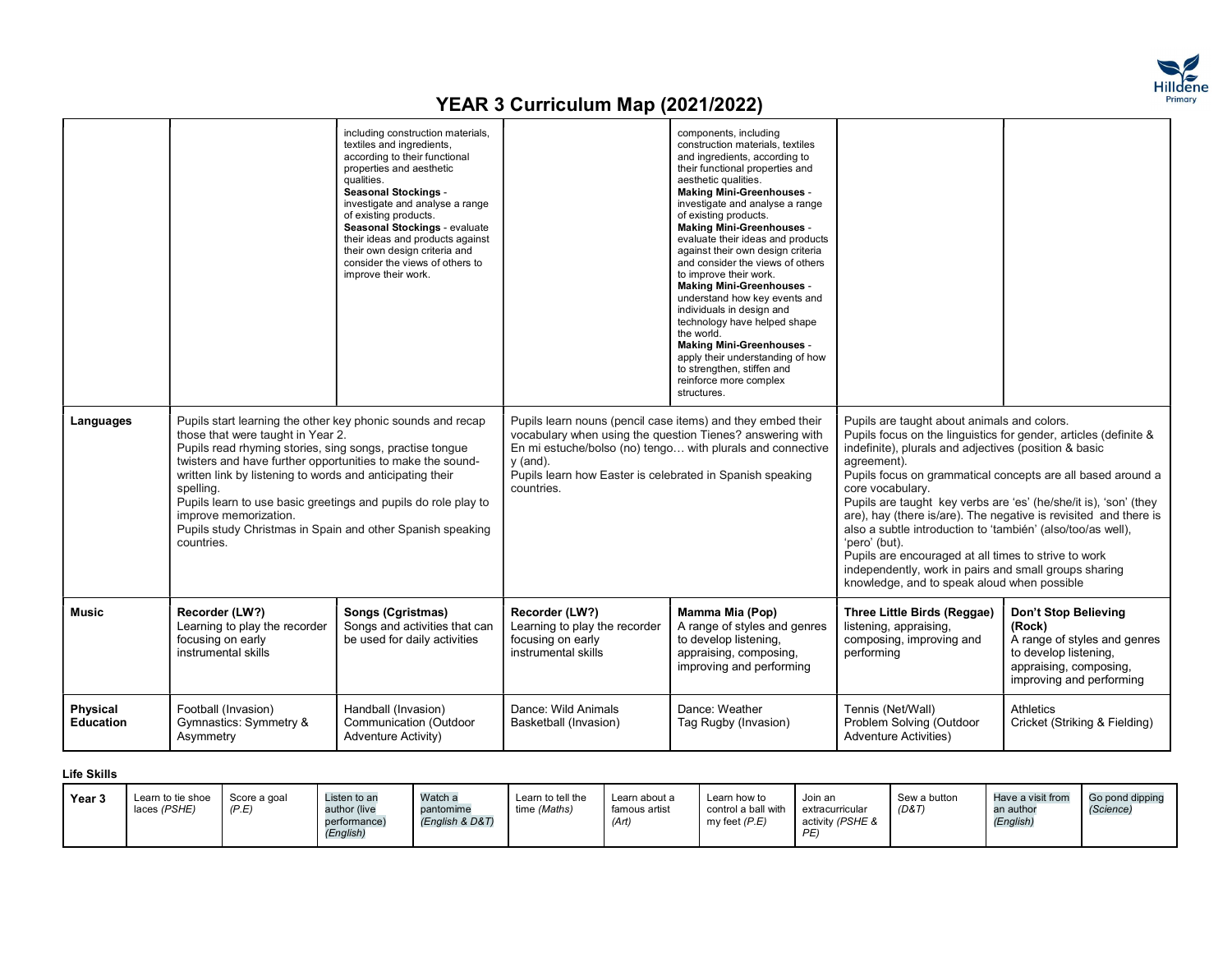

|                                     |                                                                                                                                                                                                                                                                                                                                                                                                                                                                             | including construction materials,<br>textiles and ingredients,<br>according to their functional<br>properties and aesthetic<br>qualities.<br><b>Seasonal Stockings -</b><br>investigate and analyse a range<br>of existing products.<br>Seasonal Stockings - evaluate<br>their ideas and products against<br>their own design criteria and<br>consider the views of others to<br>improve their work. |                                                                                                                                                                                                                   | components, including<br>construction materials, textiles<br>and ingredients, according to<br>their functional properties and<br>aesthetic qualities.<br><b>Making Mini-Greenhouses -</b><br>investigate and analyse a range<br>of existing products.<br><b>Making Mini-Greenhouses -</b><br>evaluate their ideas and products<br>against their own design criteria<br>and consider the views of others<br>to improve their work.<br><b>Making Mini-Greenhouses -</b><br>understand how key events and<br>individuals in design and<br>technology have helped shape<br>the world.<br><b>Making Mini-Greenhouses -</b><br>apply their understanding of how<br>to strengthen, stiffen and<br>reinforce more complex<br>structures. |                                                                                                                                                                                                                                                                                                                                                                                                                                                                                                                                                                                                |                                                                                                                                               |
|-------------------------------------|-----------------------------------------------------------------------------------------------------------------------------------------------------------------------------------------------------------------------------------------------------------------------------------------------------------------------------------------------------------------------------------------------------------------------------------------------------------------------------|------------------------------------------------------------------------------------------------------------------------------------------------------------------------------------------------------------------------------------------------------------------------------------------------------------------------------------------------------------------------------------------------------|-------------------------------------------------------------------------------------------------------------------------------------------------------------------------------------------------------------------|----------------------------------------------------------------------------------------------------------------------------------------------------------------------------------------------------------------------------------------------------------------------------------------------------------------------------------------------------------------------------------------------------------------------------------------------------------------------------------------------------------------------------------------------------------------------------------------------------------------------------------------------------------------------------------------------------------------------------------|------------------------------------------------------------------------------------------------------------------------------------------------------------------------------------------------------------------------------------------------------------------------------------------------------------------------------------------------------------------------------------------------------------------------------------------------------------------------------------------------------------------------------------------------------------------------------------------------|-----------------------------------------------------------------------------------------------------------------------------------------------|
| Languages                           | Pupils start learning the other key phonic sounds and recap<br>those that were taught in Year 2.<br>Pupils read rhyming stories, sing songs, practise tongue<br>twisters and have further opportunities to make the sound-<br>written link by listening to words and anticipating their<br>spelling.<br>Pupils learn to use basic greetings and pupils do role play to<br>improve memorization.<br>Pupils study Christmas in Spain and other Spanish speaking<br>countries. |                                                                                                                                                                                                                                                                                                                                                                                                      | Pupils learn nouns (pencil case items) and they embed their<br>vocabulary when using the question Tienes? answering with<br>$y$ (and).<br>Pupils learn how Easter is celebrated in Spanish speaking<br>countries. | En mi estuche/bolso (no) tengo with plurals and connective                                                                                                                                                                                                                                                                                                                                                                                                                                                                                                                                                                                                                                                                       | Pupils are taught about animals and colors.<br>Pupils focus on the linguistics for gender, articles (definite &<br>indefinite), plurals and adjectives (position & basic<br>agreement).<br>Pupils focus on grammatical concepts are all based around a<br>core vocabulary.<br>Pupils are taught key verbs are 'es' (he/she/it is), 'son' (they<br>also a subtle introduction to 'también' (also/too/as well),<br>'pero' (but).<br>Pupils are encouraged at all times to strive to work<br>independently, work in pairs and small groups sharing<br>knowledge, and to speak aloud when possible | are), hay (there is/are). The negative is revisited and there is                                                                              |
| <b>Music</b>                        | Recorder (LW?)<br>Learning to play the recorder<br>focusing on early<br>instrumental skills                                                                                                                                                                                                                                                                                                                                                                                 | Songs (Cgristmas)<br>Songs and activities that can<br>be used for daily activities                                                                                                                                                                                                                                                                                                                   | Recorder (LW?)<br>Learning to play the recorder<br>focusing on early<br>instrumental skills                                                                                                                       | Mamma Mia (Pop)<br>A range of styles and genres<br>to develop listening,<br>appraising, composing,<br>improving and performing                                                                                                                                                                                                                                                                                                                                                                                                                                                                                                                                                                                                   | Three Little Birds (Reggae)<br>listening, appraising,<br>composing, improving and<br>performing                                                                                                                                                                                                                                                                                                                                                                                                                                                                                                | Don't Stop Believing<br>(Rock)<br>A range of styles and genres<br>to develop listening,<br>appraising, composing,<br>improving and performing |
| <b>Physical</b><br><b>Education</b> | Football (Invasion)<br>Gymnastics: Symmetry &<br>Asymmetry                                                                                                                                                                                                                                                                                                                                                                                                                  | Handball (Invasion)<br><b>Communication (Outdoor</b><br><b>Adventure Activity)</b>                                                                                                                                                                                                                                                                                                                   | Dance: Wild Animals<br>Basketball (Invasion)                                                                                                                                                                      | Dance: Weather<br>Tag Rugby (Invasion)                                                                                                                                                                                                                                                                                                                                                                                                                                                                                                                                                                                                                                                                                           | Tennis (Net/Wall)<br>Problem Solving (Outdoor<br><b>Adventure Activities)</b>                                                                                                                                                                                                                                                                                                                                                                                                                                                                                                                  | <b>Athletics</b><br>Cricket (Striking & Fielding)                                                                                             |

Life Skills

| Year 3 | Listen to an<br>Learn to tie shoe<br>Score a goal<br>author (live<br>(P.E)<br>laces (PSHE)<br>performance)<br>(English) | Watch a<br>Learn to tell the<br>time (Maths)<br>pantomime<br>(English & D&T) | Learn about a<br>Learn how to<br>control a ball with extracurricular<br>famous artist<br>my feet $(P.E)$<br>(Art) | Sew a button<br>Join an<br>(D&T)<br>activity (PSHE & | Have a visit from<br>Go pond dipping<br>(Science)<br>an author<br>(English) |
|--------|-------------------------------------------------------------------------------------------------------------------------|------------------------------------------------------------------------------|-------------------------------------------------------------------------------------------------------------------|------------------------------------------------------|-----------------------------------------------------------------------------|
|--------|-------------------------------------------------------------------------------------------------------------------------|------------------------------------------------------------------------------|-------------------------------------------------------------------------------------------------------------------|------------------------------------------------------|-----------------------------------------------------------------------------|